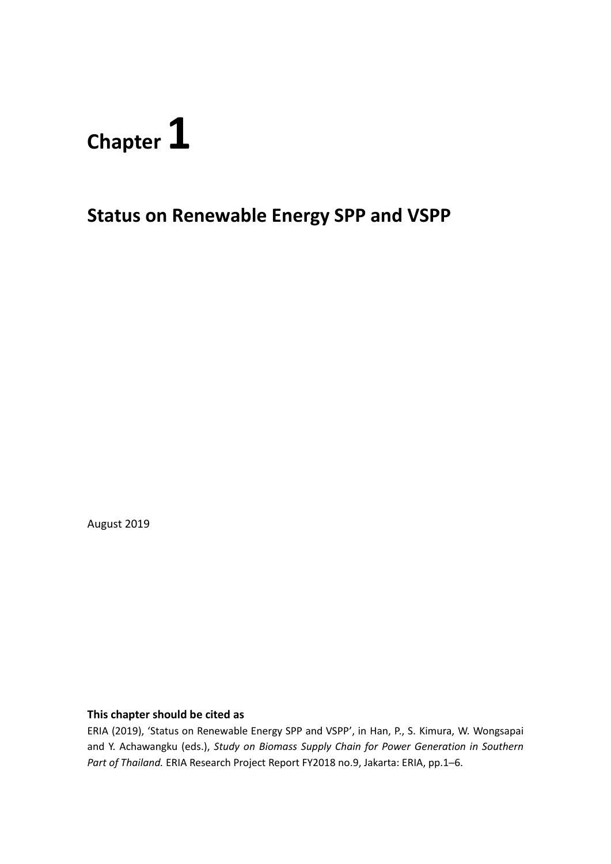# **Chapter 1**

# **Status on Renewable Energy SPP and VSPP**

August 2019

#### **This chapter should be cited as**

ERIA (2019), 'Status on Renewable Energy SPP and VSPP', in Han, P., S. Kimura, W. Wongsapai and Y. Achawangku (eds.), *Study on Biomass Supply Chain for Power Generation in Southern Part of Thailand.* ERIA Research Project Report FY2018 no.9, Jakarta: ERIA, pp.1─6.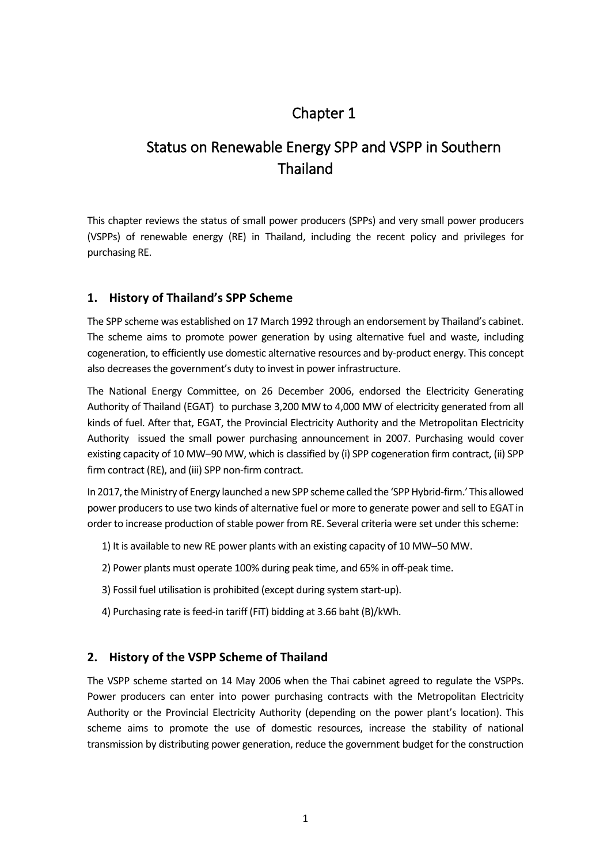## Chapter 1

## Status on Renewable Energy SPP and VSPP in Southern Thailand

This chapter reviews the status of small power producers (SPPs) and very small power producers (VSPPs) of renewable energy (RE) in Thailand, including the recent policy and privileges for purchasing RE.

## **1. History of Thailand's SPP Scheme**

The SPP scheme was established on 17 March 1992 through an endorsement by Thailand's cabinet. The scheme aims to promote power generation by using alternative fuel and waste, including cogeneration, to efficiently use domestic alternative resources and by-product energy. This concept also decreases the government's duty to invest in power infrastructure.

The National Energy Committee, on 26 December 2006, endorsed the Electricity Generating Authority of Thailand (EGAT) to purchase 3,200 MW to 4,000 MW of electricity generated from all kinds of fuel. After that, EGAT, the Provincial Electricity Authority and the Metropolitan Electricity Authority issued the small power purchasing announcement in 2007. Purchasing would cover existing capacity of 10 MW–90 MW, which is classified by (i) SPP cogeneration firm contract, (ii) SPP firm contract (RE), and (iii) SPP non-firm contract.

In 2017, the Ministry of Energy launched a new SPP scheme called the 'SPP Hybrid-firm.' This allowed power producers to use two kinds of alternative fuel or more to generate power and sell to EGAT in order to increase production of stable power from RE. Several criteria were set under this scheme:

- 1) It is available to new RE power plants with an existing capacity of 10 MW–50 MW.
- 2) Power plants must operate 100% during peak time, and 65% in off-peak time.
- 3) Fossil fuel utilisation is prohibited (except during system start-up).
- 4) Purchasing rate is feed-in tariff (FiT) bidding at 3.66 baht (B)/kWh.

### **2. History of the VSPP Scheme of Thailand**

The VSPP scheme started on 14 May 2006 when the Thai cabinet agreed to regulate the VSPPs. Power producers can enter into power purchasing contracts with the Metropolitan Electricity Authority or the Provincial Electricity Authority (depending on the power plant's location). This scheme aims to promote the use of domestic resources, increase the stability of national transmission by distributing power generation, reduce the government budget for the construction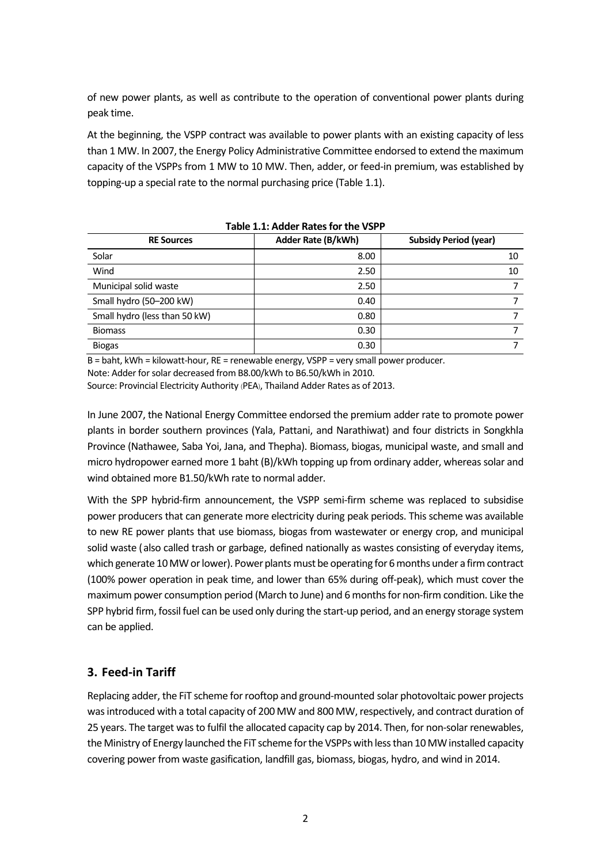of new power plants, as well as contribute to the operation of conventional power plants during peak time.

At the beginning, the VSPP contract was available to power plants with an existing capacity of less than 1 MW. In 2007, the Energy Policy Administrative Committee endorsed to extend the maximum capacity of the VSPPs from 1 MW to 10 MW. Then, adder, or feed-in premium, was established by topping-up a special rate to the normal purchasing price (Table 1.1).

| Table 1.1. Adder Rates for the VSPP |                    |                              |  |  |  |  |  |
|-------------------------------------|--------------------|------------------------------|--|--|--|--|--|
| <b>RE Sources</b>                   | Adder Rate (B/kWh) | <b>Subsidy Period (year)</b> |  |  |  |  |  |
| Solar                               | 8.00               | 10                           |  |  |  |  |  |
| Wind                                | 2.50               | 10                           |  |  |  |  |  |
| Municipal solid waste               | 2.50               |                              |  |  |  |  |  |
| Small hydro (50-200 kW)             | 0.40               |                              |  |  |  |  |  |
| Small hydro (less than 50 kW)       | 0.80               |                              |  |  |  |  |  |
| <b>Biomass</b>                      | 0.30               |                              |  |  |  |  |  |
| <b>Biogas</b>                       | 0.30               |                              |  |  |  |  |  |

**Table 1.1: Adder Rates for the VSPP**

B = baht, kWh = kilowatt-hour, RE = renewable energy, VSPP = very small power producer.

Note: Adder for solar decreased from B8.00/kWh to B6.50/kWh in 2010.

Source: Provincial Electricity Authority (PEA), Thailand Adder Rates as of 2013.

In June 2007, the National Energy Committee endorsed the premium adder rate to promote power plants in border southern provinces (Yala, Pattani, and Narathiwat) and four districts in Songkhla Province (Nathawee, Saba Yoi, Jana, and Thepha). Biomass, biogas, municipal waste, and small and micro hydropower earned more 1 baht (B)/kWh topping up from ordinary adder, whereas solar and wind obtained more B1.50/kWh rate to normal adder.

With the SPP hybrid-firm announcement, the VSPP semi-firm scheme was replaced to subsidise power producers that can generate more electricity during peak periods. This scheme was available to new RE power plants that use biomass, biogas from wastewater or energy crop, and municipal solid waste (also called trash or garbage, defined nationally as wastes consisting of everyday items, which generate 10 MW or lower). Power plants must be operating for 6 months under a firm contract (100% power operation in peak time, and lower than 65% during off-peak), which must cover the maximum power consumption period (March to June) and 6 months for non-firm condition. Like the SPP hybrid firm, fossil fuel can be used only during the start-up period, and an energy storage system can be applied.

### **3. Feed-in Tariff**

Replacing adder, the FiT scheme for rooftop and ground-mounted solar photovoltaic power projects was introduced with a total capacity of 200 MW and 800 MW, respectively, and contract duration of 25 years. The target was to fulfil the allocated capacity cap by 2014. Then, for non-solar renewables, the Ministry of Energy launched the FiT scheme for the VSPPs with less than 10 MW installed capacity covering power from waste gasification, landfill gas, biomass, biogas, hydro, and wind in 2014.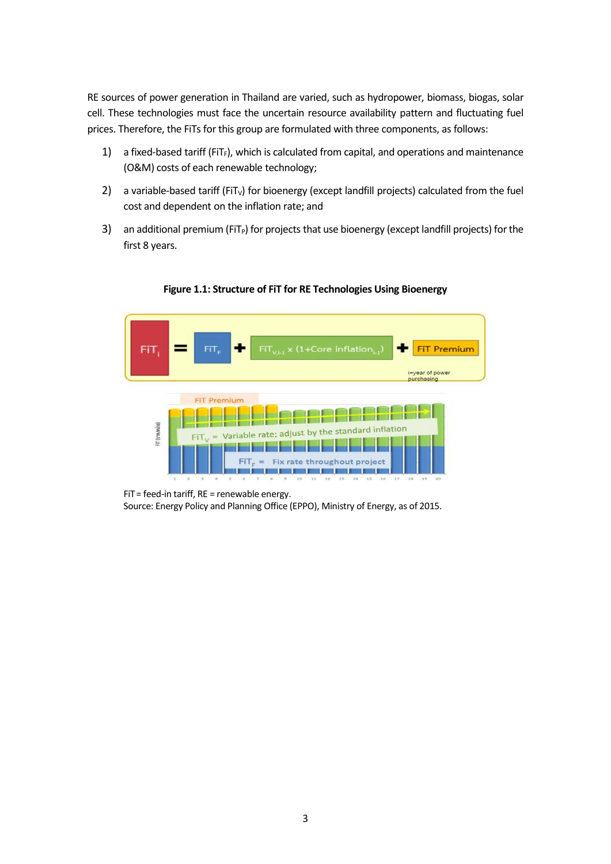RE sources of power generation in Thailand are varied, such as hydropower, biomass, biogas, solar cell. These technologies must face the uncertain resource availability pattern and fluctuating fuel prices. Therefore, the FiTs for this group are formulated with three components, as follows:

- 1) a fixed-based tariff (FiT<sub>F</sub>), which is calculated from capital, and operations and maintenance (O&M) costs of each renewable technology;
- 2) a variable-based tariff (FiT<sub>v</sub>) for bioenergy (except landfill projects) calculated from the fuel cost and dependent on the inflation rate; and
- 3) an additional premium (FiT<sub>P</sub>) for projects that use bioenergy (except landfill projects) for the first 8 years.



**Figure 1.1: Structure of FiT for RE Technologies Using Bioenergy**

 $F$ iT = feed-in tariff, RE = renewable energy. Source: Energy Policy and Planning Office (EPPO), Ministry of Energy, as of 2015.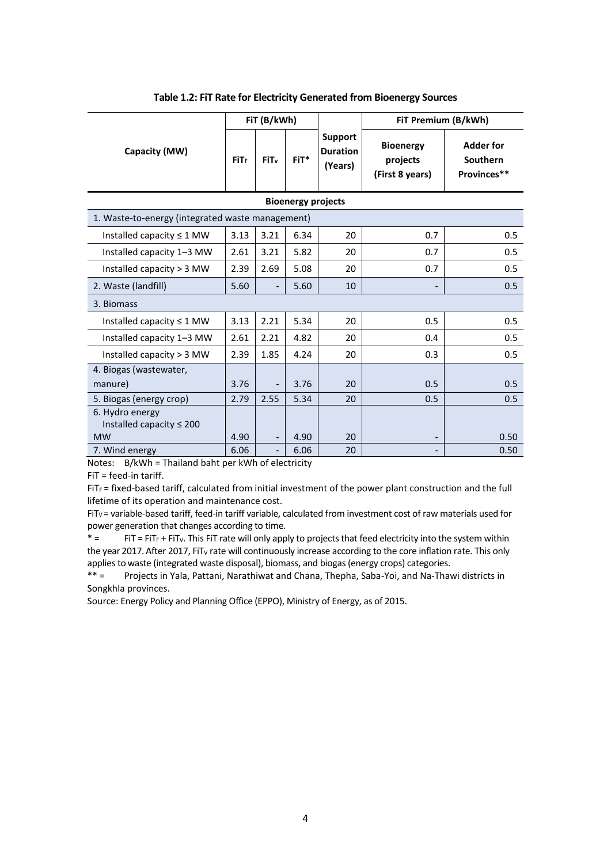|                                                  | FiT (B/kWh)      |                              |         | FiT Premium (B/kWh)                   |                                                 |                                             |  |  |  |  |  |  |
|--------------------------------------------------|------------------|------------------------------|---------|---------------------------------------|-------------------------------------------------|---------------------------------------------|--|--|--|--|--|--|
| Capacity (MW)                                    | FiT <sub>F</sub> | FiT <sub>v</sub>             | $FiT^*$ | Support<br><b>Duration</b><br>(Years) | <b>Bioenergy</b><br>projects<br>(First 8 years) | <b>Adder for</b><br>Southern<br>Provinces** |  |  |  |  |  |  |
| <b>Bioenergy projects</b>                        |                  |                              |         |                                       |                                                 |                                             |  |  |  |  |  |  |
| 1. Waste-to-energy (integrated waste management) |                  |                              |         |                                       |                                                 |                                             |  |  |  |  |  |  |
| Installed capacity $\leq 1$ MW                   | 3.13             | 3.21                         | 6.34    | 20                                    | 0.7                                             | 0.5                                         |  |  |  |  |  |  |
| Installed capacity 1-3 MW                        | 2.61             | 3.21                         | 5.82    | 20                                    | 0.7                                             | 0.5                                         |  |  |  |  |  |  |
| Installed capacity > 3 MW                        | 2.39             | 2.69                         | 5.08    | 20                                    | 0.7                                             | 0.5                                         |  |  |  |  |  |  |
| 2. Waste (landfill)                              | 5.60             | $\overline{\phantom{a}}$     | 5.60    | 10                                    |                                                 | 0.5                                         |  |  |  |  |  |  |
| 3. Biomass                                       |                  |                              |         |                                       |                                                 |                                             |  |  |  |  |  |  |
| Installed capacity $\leq 1$ MW                   | 3.13             | 2.21                         | 5.34    | 20                                    | 0.5                                             | 0.5                                         |  |  |  |  |  |  |
| Installed capacity 1-3 MW                        | 2.61             | 2.21                         | 4.82    | 20                                    | 0.4                                             | 0.5                                         |  |  |  |  |  |  |
| Installed capacity > 3 MW                        | 2.39             | 1.85                         | 4.24    | 20                                    | 0.3                                             | 0.5                                         |  |  |  |  |  |  |
| 4. Biogas (wastewater,                           |                  |                              |         |                                       |                                                 |                                             |  |  |  |  |  |  |
| manure)                                          | 3.76             | $\frac{1}{2}$                | 3.76    | 20                                    | 0.5                                             | 0.5                                         |  |  |  |  |  |  |
| 5. Biogas (energy crop)                          | 2.79             | 2.55                         | 5.34    | 20                                    | 0.5                                             | 0.5                                         |  |  |  |  |  |  |
| 6. Hydro energy                                  |                  |                              |         |                                       |                                                 |                                             |  |  |  |  |  |  |
| Installed capacity $\leq 200$<br><b>MW</b>       | 4.90             | $\overline{\phantom{0}}$     | 4.90    | 20                                    |                                                 | 0.50                                        |  |  |  |  |  |  |
| 7. Wind energy                                   | 6.06             | $\qquad \qquad \blacksquare$ | 6.06    | 20                                    |                                                 | 0.50                                        |  |  |  |  |  |  |

#### **Table 1.2: FiT Rate for Electricity Generated from Bioenergy Sources**

Notes: B/kWh = Thailand baht per kWh of electricity

FiT = feed-in tariff.

 $FIT_F$  = fixed-based tariff, calculated from initial investment of the power plant construction and the full lifetime of its operation and maintenance cost.

FiT<sub>V</sub> = variable-based tariff, feed-in tariff variable, calculated from investment cost of raw materials used for power generation that changes according to time.

 $* =$  FiT = FIT<sub>F</sub> + FIT<sub>V</sub>. This FIT rate will only apply to projects that feed electricity into the system within the year 2017. After 2017, FiT<sub>V</sub> rate will continuously increase according to the core inflation rate. This only applies to waste (integrated waste disposal), biomass, and biogas (energy crops) categories.

\*\* = Projects in Yala, Pattani, Narathiwat and Chana, Thepha, Saba-Yoi, and Na-Thawi districts in Songkhla provinces.

Source: Energy Policy and Planning Office (EPPO), Ministry of Energy, as of 2015.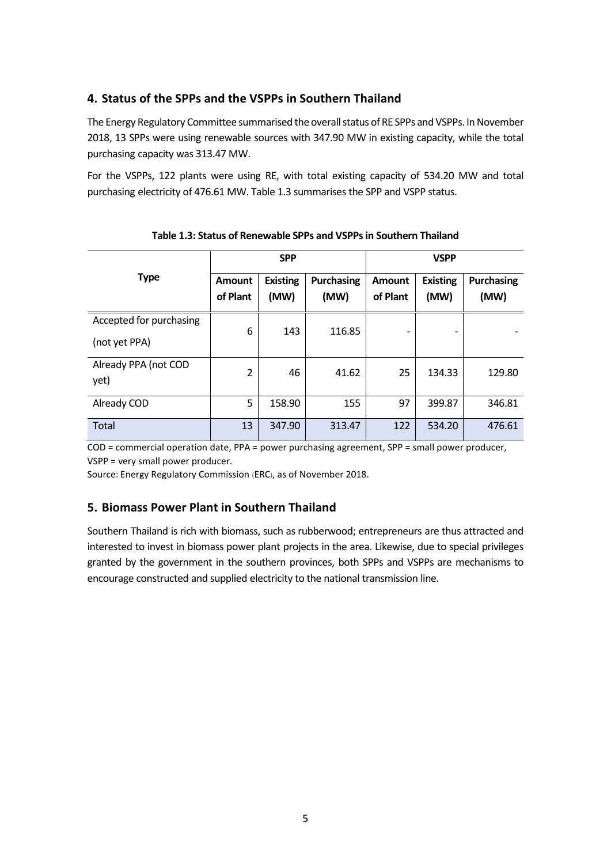### **4. Status of the SPPs and the VSPPs in Southern Thailand**

The Energy Regulatory Committee summarised the overall status of RE SPPs and VSPPs. In November 2018, 13 SPPs were using renewable sources with 347.90 MW in existing capacity, while the total purchasing capacity was 313.47 MW.

For the VSPPs, 122 plants were using RE, with total existing capacity of 534.20 MW and total purchasing electricity of 476.61 MW. Table 1.3 summarises the SPP and VSPP status.

|                                          |                           | <b>SPP</b>              |                           | <b>VSPP</b>               |                         |                           |
|------------------------------------------|---------------------------|-------------------------|---------------------------|---------------------------|-------------------------|---------------------------|
| <b>Type</b>                              | <b>Amount</b><br>of Plant | <b>Existing</b><br>(MW) | <b>Purchasing</b><br>(MW) | <b>Amount</b><br>of Plant | <b>Existing</b><br>(MW) | <b>Purchasing</b><br>(MW) |
| Accepted for purchasing<br>(not yet PPA) | 6                         | 143                     | 116.85                    |                           |                         |                           |
| Already PPA (not COD<br>yet)             | $\overline{2}$            | 46                      | 41.62                     | 25                        | 134.33                  | 129.80                    |
| Already COD                              | 5                         | 158.90                  | 155                       | 97                        | 399.87                  | 346.81                    |
| Total                                    | 13                        | 347.90                  | 313.47                    | 122                       | 534.20                  | 476.61                    |

**Table 1.3: Status of Renewable SPPs and VSPPsin Southern Thailand**

COD = commercial operation date, PPA = power purchasing agreement, SPP = small power producer, VSPP = very small power producer.

Source: Energy Regulatory Commission (ERC), as of November 2018.

#### **5. Biomass Power Plant in Southern Thailand**

Southern Thailand is rich with biomass, such as rubberwood; entrepreneurs are thus attracted and interested to invest in biomass power plant projects in the area. Likewise, due to special privileges granted by the government in the southern provinces, both SPPs and VSPPs are mechanisms to encourage constructed and supplied electricity to the national transmission line.